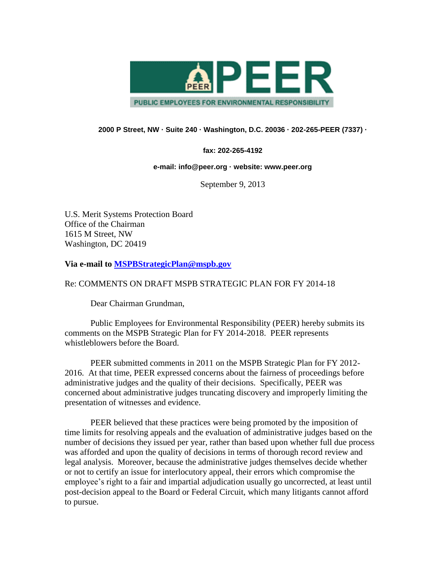

## **2000 P Street, NW · Suite 240 · Washington, D.C. 20036 · 202-265-PEER (7337) ·**

## **fax: 202-265-4192**

## **e-mail: info@peer.org · website: www.peer.org**

September 9, 2013

U.S. Merit Systems Protection Board Office of the Chairman 1615 M Street, NW Washington, DC 20419

**Via e-mail to [MSPBStrategicPlan@mspb.gov](mailto:MSPBStrategicPlan@mspb.gov)**

## Re: COMMENTS ON DRAFT MSPB STRATEGIC PLAN FOR FY 2014-18

Dear Chairman Grundman,

Public Employees for Environmental Responsibility (PEER) hereby submits its comments on the MSPB Strategic Plan for FY 2014-2018. PEER represents whistleblowers before the Board.

PEER submitted comments in 2011 on the MSPB Strategic Plan for FY 2012- 2016. At that time, PEER expressed concerns about the fairness of proceedings before administrative judges and the quality of their decisions. Specifically, PEER was concerned about administrative judges truncating discovery and improperly limiting the presentation of witnesses and evidence.

PEER believed that these practices were being promoted by the imposition of time limits for resolving appeals and the evaluation of administrative judges based on the number of decisions they issued per year, rather than based upon whether full due process was afforded and upon the quality of decisions in terms of thorough record review and legal analysis. Moreover, because the administrative judges themselves decide whether or not to certify an issue for interlocutory appeal, their errors which compromise the employee's right to a fair and impartial adjudication usually go uncorrected, at least until post-decision appeal to the Board or Federal Circuit, which many litigants cannot afford to pursue.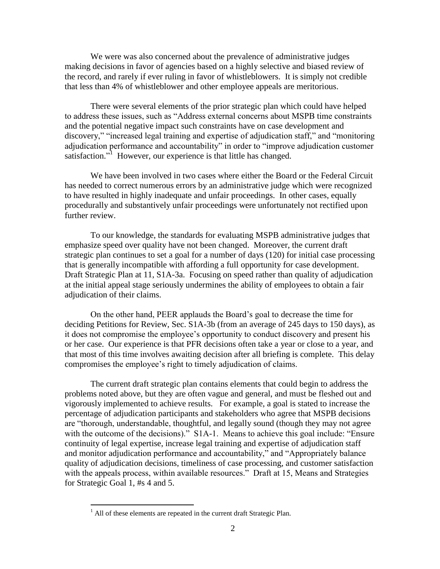We were was also concerned about the prevalence of administrative judges making decisions in favor of agencies based on a highly selective and biased review of the record, and rarely if ever ruling in favor of whistleblowers. It is simply not credible that less than 4% of whistleblower and other employee appeals are meritorious.

There were several elements of the prior strategic plan which could have helped to address these issues, such as "Address external concerns about MSPB time constraints and the potential negative impact such constraints have on case development and discovery," "increased legal training and expertise of adjudication staff," and "monitoring adjudication performance and accountability" in order to "improve adjudication customer satisfaction."<sup>1</sup> However, our experience is that little has changed.

We have been involved in two cases where either the Board or the Federal Circuit has needed to correct numerous errors by an administrative judge which were recognized to have resulted in highly inadequate and unfair proceedings. In other cases, equally procedurally and substantively unfair proceedings were unfortunately not rectified upon further review.

To our knowledge, the standards for evaluating MSPB administrative judges that emphasize speed over quality have not been changed. Moreover, the current draft strategic plan continues to set a goal for a number of days (120) for initial case processing that is generally incompatible with affording a full opportunity for case development. Draft Strategic Plan at 11, S1A-3a. Focusing on speed rather than quality of adjudication at the initial appeal stage seriously undermines the ability of employees to obtain a fair adjudication of their claims.

On the other hand, PEER applauds the Board's goal to decrease the time for deciding Petitions for Review, Sec. S1A-3b (from an average of 245 days to 150 days), as it does not compromise the employee's opportunity to conduct discovery and present his or her case. Our experience is that PFR decisions often take a year or close to a year, and that most of this time involves awaiting decision after all briefing is complete. This delay compromises the employee's right to timely adjudication of claims.

The current draft strategic plan contains elements that could begin to address the problems noted above, but they are often vague and general, and must be fleshed out and vigorously implemented to achieve results. For example, a goal is stated to increase the percentage of adjudication participants and stakeholders who agree that MSPB decisions are "thorough, understandable, thoughtful, and legally sound (though they may not agree with the outcome of the decisions)." S1A-1. Means to achieve this goal include: "Ensure" continuity of legal expertise, increase legal training and expertise of adjudication staff and monitor adjudication performance and accountability," and "Appropriately balance quality of adjudication decisions, timeliness of case processing, and customer satisfaction with the appeals process, within available resources." Draft at 15, Means and Strategies for Strategic Goal 1, #s 4 and 5.

 $\overline{a}$ 

 $<sup>1</sup>$  All of these elements are repeated in the current draft Strategic Plan.</sup>